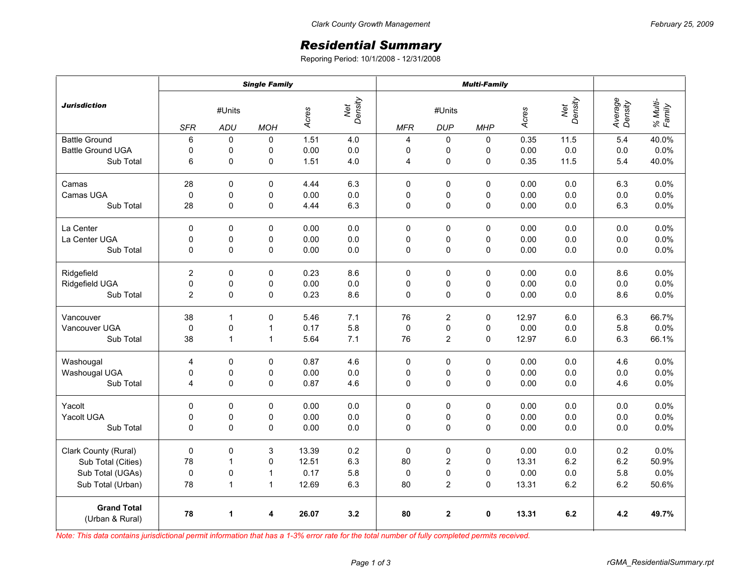## *Residential Summary*

Reporing Period: 10/1/2008 - 12/31/2008

|                                       | <b>Single Family</b> |              |              |                         |     | <b>Multi-Family</b> |                         |             |       |                |                    |                    |
|---------------------------------------|----------------------|--------------|--------------|-------------------------|-----|---------------------|-------------------------|-------------|-------|----------------|--------------------|--------------------|
| <b>Jurisdiction</b>                   | #Units               |              |              | Net<br>Density<br>Acres |     | #Units              |                         |             | Acres | Net<br>Density | Average<br>Density | % Multi-<br>Family |
|                                       | <b>SFR</b>           | ADU          | <b>MOH</b>   |                         |     | <b>MFR</b>          | <b>DUP</b>              | <b>MHP</b>  |       |                |                    |                    |
| <b>Battle Ground</b>                  | 6                    | 0            | 0            | 1.51                    | 4.0 | 4                   | 0                       | 0           | 0.35  | 11.5           | 5.4                | 40.0%              |
| <b>Battle Ground UGA</b>              | 0                    | $\mathbf 0$  | 0            | 0.00                    | 0.0 | $\mathbf 0$         | 0                       | 0           | 0.00  | 0.0            | 0.0                | 0.0%               |
| Sub Total                             | 6                    | $\pmb{0}$    | 0            | 1.51                    | 4.0 | 4                   | 0                       | 0           | 0.35  | 11.5           | 5.4                | 40.0%              |
| Camas                                 | 28                   | $\mathbf 0$  | 0            | 4.44                    | 6.3 | $\mathbf 0$         | $\mathbf 0$             | $\Omega$    | 0.00  | 0.0            | 6.3                | 0.0%               |
| Camas UGA                             | $\mathbf 0$          | 0            | 0            | 0.00                    | 0.0 | 0                   | 0                       | $\Omega$    | 0.00  | 0.0            | 0.0                | 0.0%               |
| Sub Total                             | 28                   | $\mathbf 0$  | $\mathbf 0$  | 4.44                    | 6.3 | 0                   | $\mathbf 0$             | 0           | 0.00  | 0.0            | 6.3                | 0.0%               |
| La Center                             | $\mathbf 0$          | $\mathbf 0$  | $\mathbf 0$  | 0.00                    | 0.0 | $\mathbf 0$         | $\mathbf 0$             | 0           | 0.00  | 0.0            | 0.0                | 0.0%               |
| La Center UGA                         | $\pmb{0}$            | 0            | 0            | 0.00                    | 0.0 | 0                   | 0                       | 0           | 0.00  | 0.0            | 0.0                | 0.0%               |
| Sub Total                             | $\mathbf 0$          | 0            | 0            | 0.00                    | 0.0 | 0                   | 0                       | 0           | 0.00  | 0.0            | 0.0                | 0.0%               |
| Ridgefield                            | $\overline{2}$       | $\Omega$     | $\mathbf 0$  | 0.23                    | 8.6 | $\Omega$            | $\mathbf 0$             | $\Omega$    | 0.00  | 0.0            | 8.6                | 0.0%               |
| Ridgefield UGA                        | 0                    | 0            | 0            | 0.00                    | 0.0 | 0                   | 0                       | 0           | 0.00  | 0.0            | 0.0                | 0.0%               |
| Sub Total                             | $\overline{2}$       | $\mathbf 0$  | 0            | 0.23                    | 8.6 | 0                   | 0                       | 0           | 0.00  | 0.0            | 8.6                | 0.0%               |
| Vancouver                             | 38                   | $\mathbf{1}$ | 0            | 5.46                    | 7.1 | 76                  | $\boldsymbol{2}$        | 0           | 12.97 | 6.0            | 6.3                | 66.7%              |
| Vancouver UGA                         | $\mathbf 0$          | $\pmb{0}$    | $\mathbf{1}$ | 0.17                    | 5.8 | $\mathbf 0$         | 0                       | 0           | 0.00  | 0.0            | 5.8                | 0.0%               |
| Sub Total                             | 38                   | $\mathbf{1}$ | 1            | 5.64                    | 7.1 | 76                  | $\overline{\mathbf{c}}$ | 0           | 12.97 | 6.0            | 6.3                | 66.1%              |
| Washougal                             | 4                    | 0            | 0            | 0.87                    | 4.6 | 0                   | 0                       | 0           | 0.00  | 0.0            | 4.6                | 0.0%               |
| Washougal UGA                         | 0                    | $\mathbf 0$  | 0            | 0.00                    | 0.0 | $\pmb{0}$           | 0                       | 0           | 0.00  | 0.0            | 0.0                | 0.0%               |
| Sub Total                             | $\overline{4}$       | $\mathbf 0$  | 0            | 0.87                    | 4.6 | 0                   | 0                       | 0           | 0.00  | 0.0            | 4.6                | 0.0%               |
| Yacolt                                | $\mathbf 0$          | $\mathbf 0$  | $\mathbf 0$  | 0.00                    | 0.0 | $\mathbf 0$         | $\mathbf 0$             | 0           | 0.00  | 0.0            | 0.0                | 0.0%               |
| Yacolt UGA                            | $\mathbf 0$          | 0            | 0            | 0.00                    | 0.0 | 0                   | 0                       | 0           | 0.00  | 0.0            | 0.0                | 0.0%               |
| Sub Total                             | $\mathbf 0$          | $\mathbf 0$  | 0            | 0.00                    | 0.0 | 0                   | $\mathbf 0$             | 0           | 0.00  | 0.0            | 0.0                | 0.0%               |
| Clark County (Rural)                  | $\mathbf 0$          | $\mathbf 0$  | 3            | 13.39                   | 0.2 | $\mathbf 0$         | $\pmb{0}$               | 0           | 0.00  | 0.0            | 0.2                | 0.0%               |
| Sub Total (Cities)                    | 78                   | $\mathbf 1$  | 0            | 12.51                   | 6.3 | 80                  | $\mathbf 2$             | 0           | 13.31 | 6.2            | 6.2                | 50.9%              |
| Sub Total (UGAs)                      | $\mathbf 0$          | $\mathbf 0$  | $\mathbf{1}$ | 0.17                    | 5.8 | $\mathbf 0$         | $\mathsf 0$             | $\Omega$    | 0.00  | 0.0            | 5.8                | 0.0%               |
| Sub Total (Urban)                     | 78                   | $\mathbf{1}$ | $\mathbf{1}$ | 12.69                   | 6.3 | 80                  | $\overline{c}$          | 0           | 13.31 | 6.2            | 6.2                | 50.6%              |
| <b>Grand Total</b><br>(Urban & Rural) | 78                   | 1            | 4            | 26.07                   | 3.2 | 80                  | $\mathbf{2}$            | $\mathbf 0$ | 13.31 | 6.2            | 4.2                | 49.7%              |

*Note: This data contains jurisdictional permit information that has a 1-3% error rate for the total number of fully completed permits received.*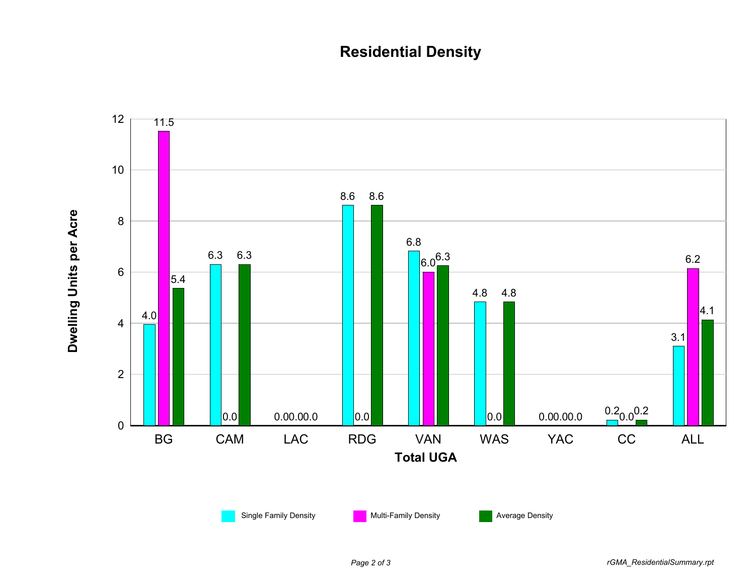## **Residential Density**